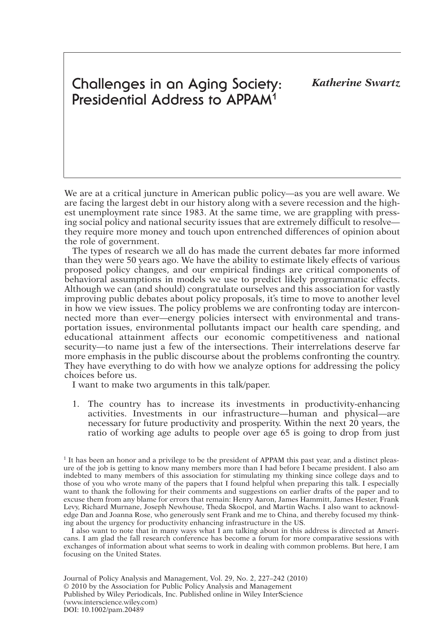*Katherine Swartz*

# **Challenges in an Aging Society: Presidential Address to APPAM1**

We are at a critical juncture in American public policy—as you are well aware. We are facing the largest debt in our history along with a severe recession and the highest unemployment rate since 1983. At the same time, we are grappling with pressing social policy and national security issues that are extremely difficult to resolve they require more money and touch upon entrenched differences of opinion about the role of government.

The types of research we all do has made the current debates far more informed than they were 50 years ago. We have the ability to estimate likely effects of various proposed policy changes, and our empirical findings are critical components of behavioral assumptions in models we use to predict likely programmatic effects. Although we can (and should) congratulate ourselves and this association for vastly improving public debates about policy proposals, it's time to move to another level in how we view issues. The policy problems we are confronting today are interconnected more than ever—energy policies intersect with environmental and transportation issues, environmental pollutants impact our health care spending, and educational attainment affects our economic competitiveness and national security—to name just a few of the intersections. Their interrelations deserve far more emphasis in the public discourse about the problems confronting the country. They have everything to do with how we analyze options for addressing the policy choices before us.

I want to make two arguments in this talk/paper.

1. The country has to increase its investments in productivity-enhancing activities. Investments in our infrastructure—human and physical—are necessary for future productivity and prosperity. Within the next 20 years, the ratio of working age adults to people over age 65 is going to drop from just

I also want to note that in many ways what I am talking about in this address is directed at Americans. I am glad the fall research conference has become a forum for more comparative sessions with exchanges of information about what seems to work in dealing with common problems. But here, I am focusing on the United States.

<sup>&</sup>lt;sup>1</sup> It has been an honor and a privilege to be the president of APPAM this past year, and a distinct pleasure of the job is getting to know many members more than I had before I became president. I also am indebted to many members of this association for stimulating my thinking since college days and to those of you who wrote many of the papers that I found helpful when preparing this talk. I especially want to thank the following for their comments and suggestions on earlier drafts of the paper and to excuse them from any blame for errors that remain: Henry Aaron, James Hammitt, James Hester, Frank Levy, Richard Murnane, Joseph Newhouse, Theda Skocpol, and Martin Wachs. I also want to acknowledge Dan and Joanna Rose, who generously sent Frank and me to China, and thereby focused my thinking about the urgency for productivity enhancing infrastructure in the US.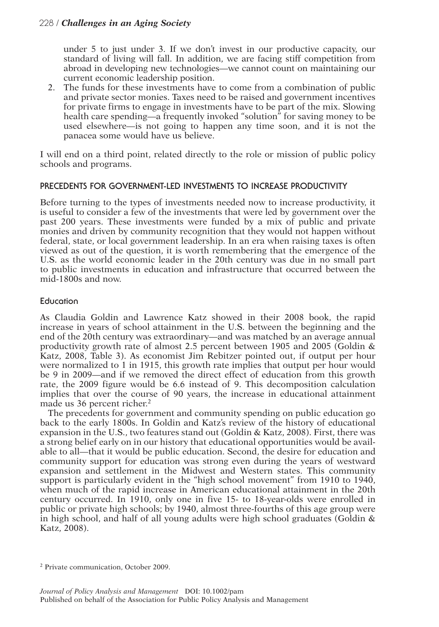under 5 to just under 3. If we don't invest in our productive capacity, our standard of living will fall. In addition, we are facing stiff competition from abroad in developing new technologies—we cannot count on maintaining our current economic leadership position.

2. The funds for these investments have to come from a combination of public and private sector monies. Taxes need to be raised and government incentives for private firms to engage in investments have to be part of the mix. Slowing health care spending—a frequently invoked "solution" for saving money to be used elsewhere—is not going to happen any time soon, and it is not the panacea some would have us believe.

I will end on a third point, related directly to the role or mission of public policy schools and programs.

# **PRECEDENTS FOR GOVERNMENT-LED INVESTMENTS TO INCREASE PRODUCTIVITY**

Before turning to the types of investments needed now to increase productivity, it is useful to consider a few of the investments that were led by government over the past 200 years. These investments were funded by a mix of public and private monies and driven by community recognition that they would not happen without federal, state, or local government leadership. In an era when raising taxes is often viewed as out of the question, it is worth remembering that the emergence of the U.S. as the world economic leader in the 20th century was due in no small part to public investments in education and infrastructure that occurred between the mid-1800s and now.

# **Education**

As Claudia Goldin and Lawrence Katz showed in their 2008 book, the rapid increase in years of school attainment in the U.S. between the beginning and the end of the 20th century was extraordinary—and was matched by an average annual productivity growth rate of almost 2.5 percent between 1905 and 2005 (Goldin & Katz, 2008, Table 3). As economist Jim Rebitzer pointed out, if output per hour were normalized to 1 in 1915, this growth rate implies that output per hour would be 9 in 2009—and if we removed the direct effect of education from this growth rate, the 2009 figure would be 6.6 instead of 9. This decomposition calculation implies that over the course of 90 years, the increase in educational attainment made us 36 percent richer.<sup>2</sup>

The precedents for government and community spending on public education go back to the early 1800s. In Goldin and Katz's review of the history of educational expansion in the U.S., two features stand out (Goldin & Katz, 2008). First, there was a strong belief early on in our history that educational opportunities would be available to all—that it would be public education. Second, the desire for education and community support for education was strong even during the years of westward expansion and settlement in the Midwest and Western states. This community support is particularly evident in the "high school movement" from 1910 to 1940, when much of the rapid increase in American educational attainment in the 20th century occurred. In 1910, only one in five 15- to 18-year-olds were enrolled in public or private high schools; by 1940, almost three-fourths of this age group were in high school, and half of all young adults were high school graduates (Goldin  $\&$ Katz, 2008).

<sup>2</sup> Private communication, October 2009.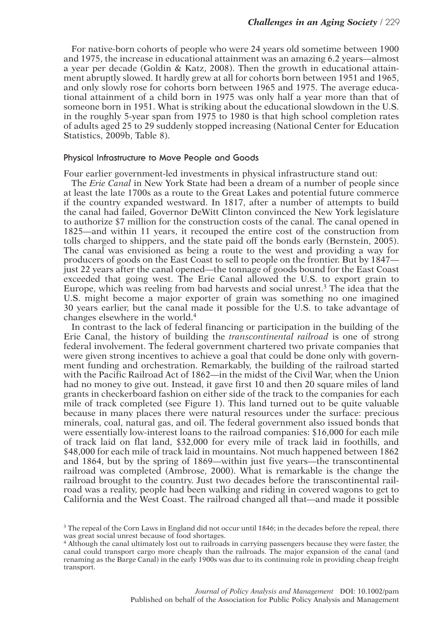For native-born cohorts of people who were 24 years old sometime between 1900 and 1975, the increase in educational attainment was an amazing 6.2 years—almost a year per decade (Goldin & Katz, 2008). Then the growth in educational attainment abruptly slowed. It hardly grew at all for cohorts born between 1951 and 1965, and only slowly rose for cohorts born between 1965 and 1975. The average educational attainment of a child born in 1975 was only half a year more than that of someone born in 1951. What is striking about the educational slowdown in the U.S. in the roughly 5-year span from 1975 to 1980 is that high school completion rates of adults aged 25 to 29 suddenly stopped increasing (National Center for Education Statistics, 2009b, Table 8).

#### **Physical Infrastructure to Move People and Goods**

Four earlier government-led investments in physical infrastructure stand out:

The *Erie Canal* in New York State had been a dream of a number of people since at least the late 1700s as a route to the Great Lakes and potential future commerce if the country expanded westward. In 1817, after a number of attempts to build the canal had failed, Governor DeWitt Clinton convinced the New York legislature to authorize \$7 million for the construction costs of the canal. The canal opened in 1825—and within 11 years, it recouped the entire cost of the construction from tolls charged to shippers, and the state paid off the bonds early (Bernstein, 2005). The canal was envisioned as being a route to the west and providing a way for producers of goods on the East Coast to sell to people on the frontier. But by 1847 just 22 years after the canal opened—the tonnage of goods bound for the East Coast exceeded that going west. The Erie Canal allowed the U.S. to export grain to Europe, which was reeling from bad harvests and social unrest.3 The idea that the U.S. might become a major exporter of grain was something no one imagined 30 years earlier, but the canal made it possible for the U.S. to take advantage of changes elsewhere in the world.4

In contrast to the lack of federal financing or participation in the building of the Erie Canal, the history of building the *transcontinental railroad* is one of strong federal involvement. The federal government chartered two private companies that were given strong incentives to achieve a goal that could be done only with government funding and orchestration. Remarkably, the building of the railroad started with the Pacific Railroad Act of 1862—in the midst of the Civil War, when the Union had no money to give out. Instead, it gave first 10 and then 20 square miles of land grants in checkerboard fashion on either side of the track to the companies for each mile of track completed (see Figure 1). This land turned out to be quite valuable because in many places there were natural resources under the surface: precious minerals, coal, natural gas, and oil. The federal government also issued bonds that were essentially low-interest loans to the railroad companies: \$16,000 for each mile of track laid on flat land, \$32,000 for every mile of track laid in foothills, and \$48,000 for each mile of track laid in mountains. Not much happened between 1862 and 1864, but by the spring of 1869—within just five years—the transcontinental railroad was completed (Ambrose, 2000). What is remarkable is the change the railroad brought to the country. Just two decades before the transcontinental railroad was a reality, people had been walking and riding in covered wagons to get to California and the West Coast. The railroad changed all that—and made it possible

<sup>&</sup>lt;sup>3</sup> The repeal of the Corn Laws in England did not occur until 1846; in the decades before the repeal, there was great social unrest because of food shortages.

<sup>4</sup> Although the canal ultimately lost out to railroads in carrying passengers because they were faster, the canal could transport cargo more cheaply than the railroads. The major expansion of the canal (and renaming as the Barge Canal) in the early 1900s was due to its continuing role in providing cheap freight transport.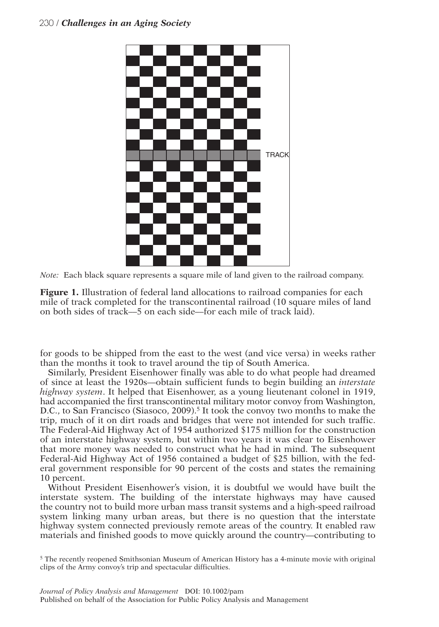

*Note:* Each black square represents a square mile of land given to the railroad company.

**Figure 1.** Illustration of federal land allocations to railroad companies for each mile of track completed for the transcontinental railroad (10 square miles of land on both sides of track––5 on each side––for each mile of track laid).

for goods to be shipped from the east to the west (and vice versa) in weeks rather than the months it took to travel around the tip of South America.

Similarly, President Eisenhower finally was able to do what people had dreamed of since at least the 1920s—obtain sufficient funds to begin building an *interstate highway system*. It helped that Eisenhower, as a young lieutenant colonel in 1919, had accompanied the first transcontinental military motor convoy from Washington, D.C., to San Francisco (Siasoco, 2009).<sup>5</sup> It took the convoy two months to make the trip, much of it on dirt roads and bridges that were not intended for such traffic. The Federal-Aid Highway Act of 1954 authorized \$175 million for the construction of an interstate highway system, but within two years it was clear to Eisenhower that more money was needed to construct what he had in mind. The subsequent Federal-Aid Highway Act of 1956 contained a budget of \$25 billion, with the federal government responsible for 90 percent of the costs and states the remaining 10 percent.

Without President Eisenhower's vision, it is doubtful we would have built the interstate system. The building of the interstate highways may have caused the country not to build more urban mass transit systems and a high-speed railroad system linking many urban areas, but there is no question that the interstate highway system connected previously remote areas of the country. It enabled raw materials and finished goods to move quickly around the country—contributing to

<sup>5</sup> The recently reopened Smithsonian Museum of American History has a 4-minute movie with original clips of the Army convoy's trip and spectacular difficulties.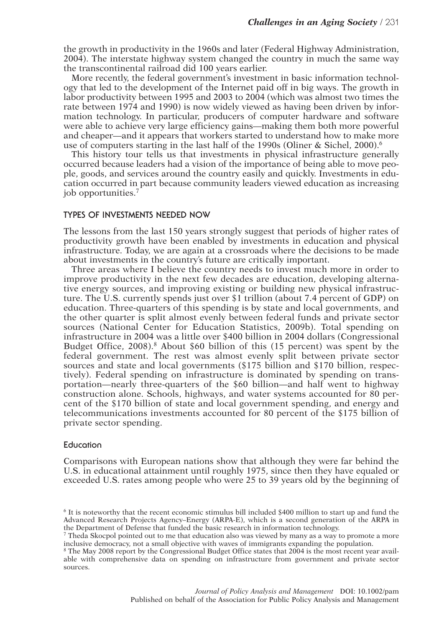the growth in productivity in the 1960s and later (Federal Highway Administration, 2004). The interstate highway system changed the country in much the same way the transcontinental railroad did 100 years earlier.

More recently, the federal government's investment in basic information technology that led to the development of the Internet paid off in big ways. The growth in labor productivity between 1995 and 2003 to 2004 (which was almost two times the rate between 1974 and 1990) is now widely viewed as having been driven by information technology. In particular, producers of computer hardware and software were able to achieve very large efficiency gains—making them both more powerful and cheaper—and it appears that workers started to understand how to make more use of computers starting in the last half of the 1990s (Oliner & Sichel, 2000).<sup>6</sup>

This history tour tells us that investments in physical infrastructure generally occurred because leaders had a vision of the importance of being able to move people, goods, and services around the country easily and quickly. Investments in education occurred in part because community leaders viewed education as increasing job opportunities.7

#### **TYPES OF INVESTMENTS NEEDED NOW**

The lessons from the last 150 years strongly suggest that periods of higher rates of productivity growth have been enabled by investments in education and physical infrastructure. Today, we are again at a crossroads where the decisions to be made about investments in the country's future are critically important.

Three areas where I believe the country needs to invest much more in order to improve productivity in the next few decades are education, developing alternative energy sources, and improving existing or building new physical infrastructure. The U.S. currently spends just over \$1 trillion (about 7.4 percent of GDP) on education. Three-quarters of this spending is by state and local governments, and the other quarter is split almost evenly between federal funds and private sector sources (National Center for Education Statistics, 2009b). Total spending on infrastructure in 2004 was a little over \$400 billion in 2004 dollars (Congressional Budget Office,  $2008$ <sup>8</sup>. About \$60 billion of this (15 percent) was spent by the federal government. The rest was almost evenly split between private sector sources and state and local governments (\$175 billion and \$170 billion, respectively). Federal spending on infrastructure is dominated by spending on transportation—nearly three-quarters of the \$60 billion—and half went to highway construction alone. Schools, highways, and water systems accounted for 80 percent of the \$170 billion of state and local government spending, and energy and telecommunications investments accounted for 80 percent of the \$175 billion of private sector spending.

## **Education**

Comparisons with European nations show that although they were far behind the U.S. in educational attainment until roughly 1975, since then they have equaled or exceeded U.S. rates among people who were 25 to 39 years old by the beginning of

<sup>6</sup> It is noteworthy that the recent economic stimulus bill included \$400 million to start up and fund the Advanced Research Projects Agency–Energy (ARPA-E), which is a second generation of the ARPA in the Department of Defense that funded the basic research in information technology.

<sup>7</sup> Theda Skocpol pointed out to me that education also was viewed by many as a way to promote a more inclusive democracy, not a small objective with waves of immigrants expanding the population.

<sup>8</sup> The May 2008 report by the Congressional Budget Office states that 2004 is the most recent year available with comprehensive data on spending on infrastructure from government and private sector sources.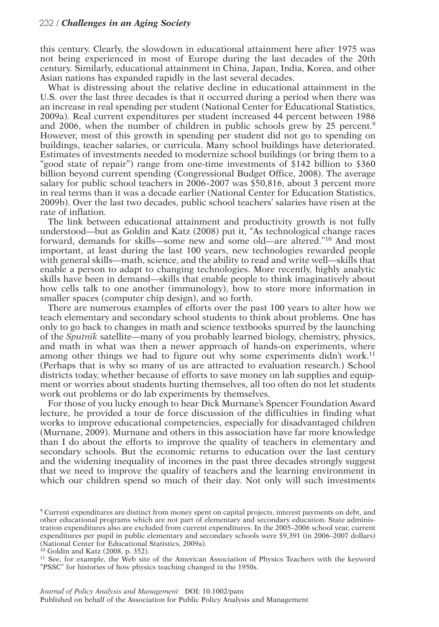this century. Clearly, the slowdown in educational attainment here after 1975 was not being experienced in most of Europe during the last decades of the 20th century. Similarly, educational attainment in China, Japan, India, Korea, and other Asian nations has expanded rapidly in the last several decades.

What is distressing about the relative decline in educational attainment in the U.S. over the last three decades is that it occurred during a period when there was an increase in real spending per student (National Center for Educational Statistics, 2009a). Real current expenditures per student increased 44 percent between 1986 and 2006, when the number of children in public schools grew by 25 percent.<sup>9</sup> However, most of this growth in spending per student did not go to spending on buildings, teacher salaries, or curricula. Many school buildings have deteriorated. Estimates of investments needed to modernize school buildings (or bring them to a "good state of repair") range from one-time investments of \$142 billion to \$360 billion beyond current spending (Congressional Budget Office, 2008). The average salary for public school teachers in 2006–2007 was \$50,816, about 3 percent more in real terms than it was a decade earlier (National Center for Education Statistics, 2009b). Over the last two decades, public school teachers' salaries have risen at the rate of inflation.

The link between educational attainment and productivity growth is not fully understood—but as Goldin and Katz (2008) put it, "As technological change races forward, demands for skills—some new and some old—are altered."10 And most important, at least during the last 100 years, new technologies rewarded people with general skills—math, science, and the ability to read and write well—skills that enable a person to adapt to changing technologies. More recently, highly analytic skills have been in demand—skills that enable people to think imaginatively about how cells talk to one another (immunology), how to store more information in smaller spaces (computer chip design), and so forth.

There are numerous examples of efforts over the past 100 years to alter how we teach elementary and secondary school students to think about problems. One has only to go back to changes in math and science textbooks spurred by the launching of the *Sputnik* satellite—many of you probably learned biology, chemistry, physics, and math in what was then a newer approach of hands-on experiments, where among other things we had to figure out why some experiments didn't work.<sup>11</sup> (Perhaps that is why so many of us are attracted to evaluation research.) School districts today, whether because of efforts to save money on lab supplies and equipment or worries about students hurting themselves, all too often do not let students work out problems or do lab experiments by themselves.

For those of you lucky enough to hear Dick Murnane's Spencer Foundation Award lecture, he provided a tour de force discussion of the difficulties in finding what works to improve educational competencies, especially for disadvantaged children (Murnane, 2009). Murnane and others in this association have far more knowledge than I do about the efforts to improve the quality of teachers in elementary and secondary schools. But the economic returns to education over the last century and the widening inequality of incomes in the past three decades strongly suggest that we need to improve the quality of teachers and the learning environment in which our children spend so much of their day. Not only will such investments

<sup>10</sup> Goldin and Katz (2008, p. 352).

<sup>9</sup> Current expenditures are distinct from money spent on capital projects, interest payments on debt, and other educational programs which are not part of elementary and secondary education. State administration expenditures also are excluded from current expenditures. In the 2005–2006 school year, current expenditures per pupil in public elementary and secondary schools were \$9,391 (in 2006–2007 dollars) (National Center for Educational Statistics, 2009a).

<sup>&</sup>lt;sup>11</sup> See, for example, the Web site of the American Association of Physics Teachers with the keyword "PSSC" for histories of how physics teaching changed in the 1950s.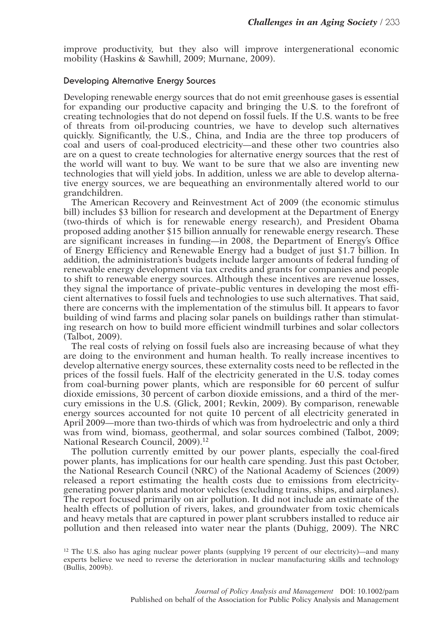improve productivity, but they also will improve intergenerational economic mobility (Haskins & Sawhill, 2009; Murnane, 2009).

## **Developing Alternative Energy Sources**

Developing renewable energy sources that do not emit greenhouse gases is essential for expanding our productive capacity and bringing the U.S. to the forefront of creating technologies that do not depend on fossil fuels. If the U.S. wants to be free of threats from oil-producing countries, we have to develop such alternatives quickly. Significantly, the U.S., China, and India are the three top producers of coal and users of coal-produced electricity—and these other two countries also are on a quest to create technologies for alternative energy sources that the rest of the world will want to buy. We want to be sure that we also are inventing new technologies that will yield jobs. In addition, unless we are able to develop alternative energy sources, we are bequeathing an environmentally altered world to our grandchildren.

The American Recovery and Reinvestment Act of 2009 (the economic stimulus bill) includes \$3 billion for research and development at the Department of Energy (two-thirds of which is for renewable energy research), and President Obama proposed adding another \$15 billion annually for renewable energy research. These are significant increases in funding—in 2008, the Department of Energy's Office of Energy Efficiency and Renewable Energy had a budget of just \$1.7 billion. In addition, the administration's budgets include larger amounts of federal funding of renewable energy development via tax credits and grants for companies and people to shift to renewable energy sources. Although these incentives are revenue losses, they signal the importance of private–public ventures in developing the most efficient alternatives to fossil fuels and technologies to use such alternatives. That said, there are concerns with the implementation of the stimulus bill. It appears to favor building of wind farms and placing solar panels on buildings rather than stimulating research on how to build more efficient windmill turbines and solar collectors (Talbot, 2009).

The real costs of relying on fossil fuels also are increasing because of what they are doing to the environment and human health. To really increase incentives to develop alternative energy sources, these externality costs need to be reflected in the prices of the fossil fuels. Half of the electricity generated in the U.S. today comes from coal-burning power plants, which are responsible for 60 percent of sulfur dioxide emissions, 30 percent of carbon dioxide emissions, and a third of the mercury emissions in the U.S. (Glick, 2001; Revkin, 2009). By comparison, renewable energy sources accounted for not quite 10 percent of all electricity generated in April 2009—more than two-thirds of which was from hydroelectric and only a third was from wind, biomass, geothermal, and solar sources combined (Talbot, 2009; National Research Council, 2009).<sup>12</sup>

The pollution currently emitted by our power plants, especially the coal-fired power plants, has implications for our health care spending. Just this past October, the National Research Council (NRC) of the National Academy of Sciences (2009) released a report estimating the health costs due to emissions from electricitygenerating power plants and motor vehicles (excluding trains, ships, and airplanes). The report focused primarily on air pollution. It did not include an estimate of the health effects of pollution of rivers, lakes, and groundwater from toxic chemicals and heavy metals that are captured in power plant scrubbers installed to reduce air pollution and then released into water near the plants (Duhigg, 2009). The NRC

 $12$  The U.S. also has aging nuclear power plants (supplying 19 percent of our electricity)—and many experts believe we need to reverse the deterioration in nuclear manufacturing skills and technology (Bullis, 2009b).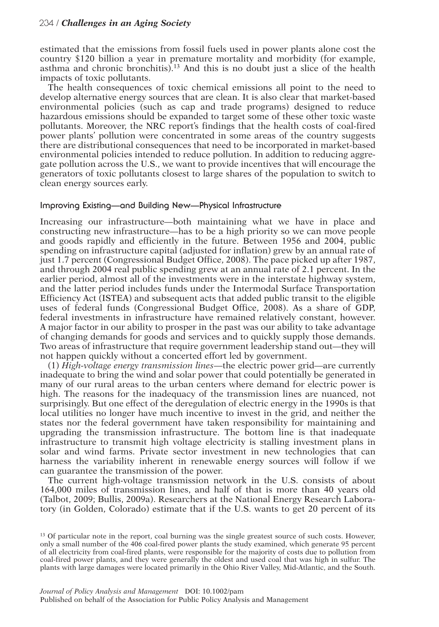estimated that the emissions from fossil fuels used in power plants alone cost the country \$120 billion a year in premature mortality and morbidity (for example, asthma and chronic bronchitis).<sup>13</sup> And this is no doubt just a slice of the health impacts of toxic pollutants.

The health consequences of toxic chemical emissions all point to the need to develop alternative energy sources that are clean. It is also clear that market-based environmental policies (such as cap and trade programs) designed to reduce hazardous emissions should be expanded to target some of these other toxic waste pollutants. Moreover, the NRC report's findings that the health costs of coal-fired power plants' pollution were concentrated in some areas of the country suggests there are distributional consequences that need to be incorporated in market-based environmental policies intended to reduce pollution. In addition to reducing aggregate pollution across the U.S., we want to provide incentives that will encourage the generators of toxic pollutants closest to large shares of the population to switch to clean energy sources early.

## **Improving Existing—and Building New—Physical Infrastructure**

Increasing our infrastructure—both maintaining what we have in place and constructing new infrastructure—has to be a high priority so we can move people and goods rapidly and efficiently in the future. Between 1956 and 2004, public spending on infrastructure capital (adjusted for inflation) grew by an annual rate of just 1.7 percent (Congressional Budget Office, 2008). The pace picked up after 1987, and through 2004 real public spending grew at an annual rate of 2.1 percent. In the earlier period, almost all of the investments were in the interstate highway system, and the latter period includes funds under the Intermodal Surface Transportation Efficiency Act (ISTEA) and subsequent acts that added public transit to the eligible uses of federal funds (Congressional Budget Office, 2008). As a share of GDP, federal investments in infrastructure have remained relatively constant, however. A major factor in our ability to prosper in the past was our ability to take advantage of changing demands for goods and services and to quickly supply those demands. Two areas of infrastructure that require government leadership stand out—they will not happen quickly without a concerted effort led by government.

(1) *High-voltage energy transmission lines*—the electric power grid—are currently inadequate to bring the wind and solar power that could potentially be generated in many of our rural areas to the urban centers where demand for electric power is high. The reasons for the inadequacy of the transmission lines are nuanced, not surprisingly. But one effect of the deregulation of electric energy in the 1990s is that local utilities no longer have much incentive to invest in the grid, and neither the states nor the federal government have taken responsibility for maintaining and upgrading the transmission infrastructure. The bottom line is that inadequate infrastructure to transmit high voltage electricity is stalling investment plans in solar and wind farms. Private sector investment in new technologies that can harness the variability inherent in renewable energy sources will follow if we can guarantee the transmission of the power.

The current high-voltage transmission network in the U.S. consists of about 164,000 miles of transmission lines, and half of that is more than 40 years old (Talbot, 2009; Bullis, 2009a). Researchers at the National Energy Research Laboratory (in Golden, Colorado) estimate that if the U.S. wants to get 20 percent of its

<sup>&</sup>lt;sup>13</sup> Of particular note in the report, coal burning was the single greatest source of such costs. However, only a small number of the 406 coal-fired power plants the study examined, which generate 95 percent of all electricity from coal-fired plants, were responsible for the majority of costs due to pollution from coal-fired power plants, and they were generally the oldest and used coal that was high in sulfur. The plants with large damages were located primarily in the Ohio River Valley, Mid-Atlantic, and the South.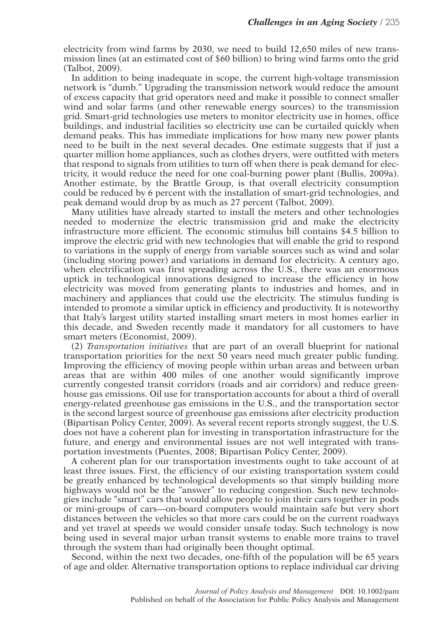electricity from wind farms by 2030, we need to build 12,650 miles of new transmission lines (at an estimated cost of \$60 billion) to bring wind farms onto the grid (Talbot, 2009).

In addition to being inadequate in scope, the current high-voltage transmission network is "dumb." Upgrading the transmission network would reduce the amount of excess capacity that grid operators need and make it possible to connect smaller wind and solar farms (and other renewable energy sources) to the transmission grid. Smart-grid technologies use meters to monitor electricity use in homes, office buildings, and industrial facilities so electricity use can be curtailed quickly when demand peaks. This has immediate implications for how many new power plants need to be built in the next several decades. One estimate suggests that if just a quarter million home appliances, such as clothes dryers, were outfitted with meters that respond to signals from utilities to turn off when there is peak demand for electricity, it would reduce the need for one coal-burning power plant (Bullis, 2009a). Another estimate, by the Brattle Group, is that overall electricity consumption could be reduced by 6 percent with the installation of smart-grid technologies, and peak demand would drop by as much as 27 percent (Talbot, 2009).

Many utilities have already started to install the meters and other technologies needed to modernize the electric transmission grid and make the electricity infrastructure more efficient. The economic stimulus bill contains \$4.5 billion to improve the electric grid with new technologies that will enable the grid to respond to variations in the supply of energy from variable sources such as wind and solar (including storing power) and variations in demand for electricity. A century ago, when electrification was first spreading across the U.S., there was an enormous uptick in technological innovations designed to increase the efficiency in how electricity was moved from generating plants to industries and homes, and in machinery and appliances that could use the electricity. The stimulus funding is intended to promote a similar uptick in efficiency and productivity. It is noteworthy that Italy's largest utility started installing smart meters in most homes earlier in this decade, and Sweden recently made it mandatory for all customers to have smart meters (Economist, 2009).

(2) *Transportation initiatives* that are part of an overall blueprint for national transportation priorities for the next 50 years need much greater public funding. Improving the efficiency of moving people within urban areas and between urban areas that are within 400 miles of one another would significantly improve currently congested transit corridors (roads and air corridors) and reduce greenhouse gas emissions. Oil use for transportation accounts for about a third of overall energy-related greenhouse gas emissions in the U.S., and the transportation sector is the second largest source of greenhouse gas emissions after electricity production (Bipartisan Policy Center, 2009). As several recent reports strongly suggest, the U.S. does not have a coherent plan for investing in transportation infrastructure for the future, and energy and environmental issues are not well integrated with transportation investments (Puentes, 2008; Bipartisan Policy Center, 2009).

A coherent plan for our transportation investments ought to take account of at least three issues. First, the efficiency of our existing transportation system could be greatly enhanced by technological developments so that simply building more highways would not be the "answer" to reducing congestion. Such new technologies include "smart" cars that would allow people to join their cars together in pods or mini-groups of cars—on-board computers would maintain safe but very short distances between the vehicles so that more cars could be on the current roadways and yet travel at speeds we would consider unsafe today. Such technology is now being used in several major urban transit systems to enable more trains to travel through the system than had originally been thought optimal.

Second, within the next two decades, one-fifth of the population will be 65 years of age and older. Alternative transportation options to replace individual car driving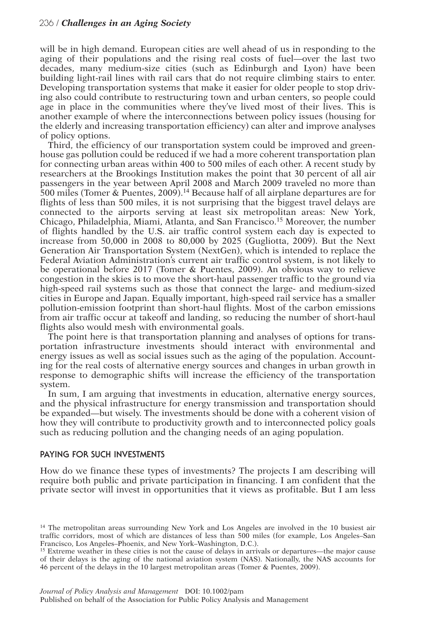will be in high demand. European cities are well ahead of us in responding to the aging of their populations and the rising real costs of fuel—over the last two decades, many medium-size cities (such as Edinburgh and Lyon) have been building light-rail lines with rail cars that do not require climbing stairs to enter. Developing transportation systems that make it easier for older people to stop driving also could contribute to restructuring town and urban centers, so people could age in place in the communities where they've lived most of their lives. This is another example of where the interconnections between policy issues (housing for the elderly and increasing transportation efficiency) can alter and improve analyses of policy options.

Third, the efficiency of our transportation system could be improved and greenhouse gas pollution could be reduced if we had a more coherent transportation plan for connecting urban areas within 400 to 500 miles of each other. A recent study by researchers at the Brookings Institution makes the point that 30 percent of all air passengers in the year between April 2008 and March 2009 traveled no more than 500 miles (Tomer & Puentes, 2009).14 Because half of all airplane departures are for flights of less than 500 miles, it is not surprising that the biggest travel delays are connected to the airports serving at least six metropolitan areas: New York, Chicago, Philadelphia, Miami, Atlanta, and San Francisco.15 Moreover, the number of flights handled by the U.S. air traffic control system each day is expected to increase from 50,000 in 2008 to 80,000 by 2025 (Gugliotta, 2009). But the Next Generation Air Transportation System (NextGen), which is intended to replace the Federal Aviation Administration's current air traffic control system, is not likely to be operational before 2017 (Tomer & Puentes, 2009). An obvious way to relieve congestion in the skies is to move the short-haul passenger traffic to the ground via high-speed rail systems such as those that connect the large- and medium-sized cities in Europe and Japan. Equally important, high-speed rail service has a smaller pollution-emission footprint than short-haul flights. Most of the carbon emissions from air traffic occur at takeoff and landing, so reducing the number of short-haul flights also would mesh with environmental goals.

The point here is that transportation planning and analyses of options for transportation infrastructure investments should interact with environmental and energy issues as well as social issues such as the aging of the population. Accounting for the real costs of alternative energy sources and changes in urban growth in response to demographic shifts will increase the efficiency of the transportation system.

In sum, I am arguing that investments in education, alternative energy sources, and the physical infrastructure for energy transmission and transportation should be expanded—but wisely. The investments should be done with a coherent vision of how they will contribute to productivity growth and to interconnected policy goals such as reducing pollution and the changing needs of an aging population.

## **PAYING FOR SUCH INVESTMENTS**

How do we finance these types of investments? The projects I am describing will require both public and private participation in financing. I am confident that the private sector will invest in opportunities that it views as profitable. But I am less

<sup>14</sup> The metropolitan areas surrounding New York and Los Angeles are involved in the 10 busiest air traffic corridors, most of which are distances of less than 500 miles (for example, Los Angeles–San Francisco, Los Angeles–Phoenix, and New York–Washington, D.C.).

<sup>15</sup> Extreme weather in these cities is not the cause of delays in arrivals or departures—the major cause of their delays is the aging of the national aviation system (NAS). Nationally, the NAS accounts for 46 percent of the delays in the 10 largest metropolitan areas (Tomer & Puentes, 2009).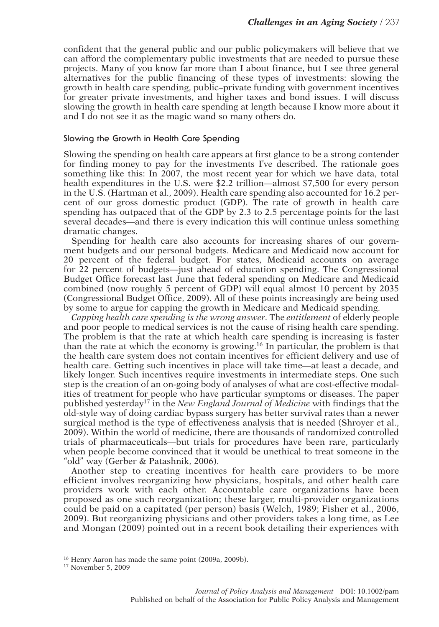confident that the general public and our public policymakers will believe that we can afford the complementary public investments that are needed to pursue these projects. Many of you know far more than I about finance, but I see three general alternatives for the public financing of these types of investments: slowing the growth in health care spending, public–private funding with government incentives for greater private investments, and higher taxes and bond issues. I will discuss slowing the growth in health care spending at length because I know more about it and I do not see it as the magic wand so many others do.

## **Slowing the Growth in Health Care Spending**

Slowing the spending on health care appears at first glance to be a strong contender for finding money to pay for the investments I've described. The rationale goes something like this: In 2007, the most recent year for which we have data, total health expenditures in the U.S. were \$2.2 trillion—almost \$7,500 for every person in the U.S. (Hartman et al., 2009). Health care spending also accounted for 16.2 percent of our gross domestic product (GDP). The rate of growth in health care spending has outpaced that of the GDP by 2.3 to 2.5 percentage points for the last several decades—and there is every indication this will continue unless something dramatic changes.

Spending for health care also accounts for increasing shares of our government budgets and our personal budgets. Medicare and Medicaid now account for 20 percent of the federal budget. For states, Medicaid accounts on average for 22 percent of budgets—just ahead of education spending. The Congressional Budget Office forecast last June that federal spending on Medicare and Medicaid combined (now roughly 5 percent of GDP) will equal almost 10 percent by 2035 (Congressional Budget Office, 2009). All of these points increasingly are being used by some to argue for capping the growth in Medicare and Medicaid spending.

*Capping health care spending is the wrong answer*. The *entitlement* of elderly people and poor people to medical services is not the cause of rising health care spending. The problem is that the rate at which health care spending is increasing is faster than the rate at which the economy is growing.16 In particular, the problem is that the health care system does not contain incentives for efficient delivery and use of health care. Getting such incentives in place will take time—at least a decade, and likely longer. Such incentives require investments in intermediate steps. One such step is the creation of an on-going body of analyses of what are cost-effective modalities of treatment for people who have particular symptoms or diseases. The paper published yesterday17 in the *New England Journal of Medicine* with findings that the old-style way of doing cardiac bypass surgery has better survival rates than a newer surgical method is the type of effectiveness analysis that is needed (Shroyer et al., 2009). Within the world of medicine, there are thousands of randomized controlled trials of pharmaceuticals—but trials for procedures have been rare, particularly when people become convinced that it would be unethical to treat someone in the "old" way (Gerber & Patashnik, 2006).

Another step to creating incentives for health care providers to be more efficient involves reorganizing how physicians, hospitals, and other health care providers work with each other. Accountable care organizations have been proposed as one such reorganization; these larger, multi-provider organizations could be paid on a capitated (per person) basis (Welch, 1989; Fisher et al., 2006, 2009). But reorganizing physicians and other providers takes a long time, as Lee and Mongan (2009) pointed out in a recent book detailing their experiences with

<sup>16</sup> Henry Aaron has made the same point (2009a, 2009b).

<sup>17</sup> November 5, 2009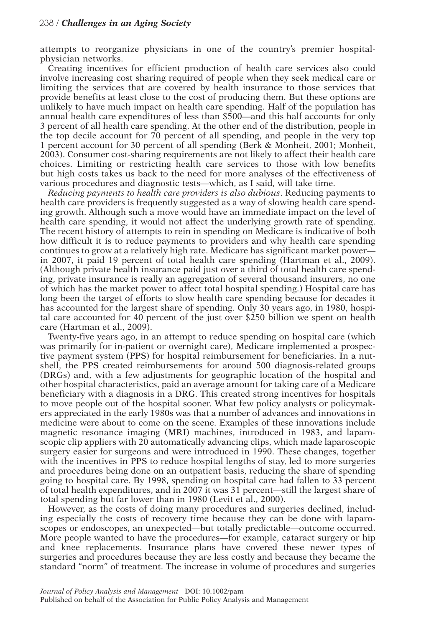attempts to reorganize physicians in one of the country's premier hospitalphysician networks.

Creating incentives for efficient production of health care services also could involve increasing cost sharing required of people when they seek medical care or limiting the services that are covered by health insurance to those services that provide benefits at least close to the cost of producing them. But these options are unlikely to have much impact on health care spending. Half of the population has annual health care expenditures of less than \$500—and this half accounts for only 3 percent of all health care spending. At the other end of the distribution, people in the top decile account for 70 percent of all spending, and people in the very top 1 percent account for 30 percent of all spending (Berk & Monheit, 2001; Monheit, 2003). Consumer cost-sharing requirements are not likely to affect their health care choices. Limiting or restricting health care services to those with low benefits but high costs takes us back to the need for more analyses of the effectiveness of various procedures and diagnostic tests—which, as I said, will take time.

*Reducing payments to health care providers is also dubious*. Reducing payments to health care providers is frequently suggested as a way of slowing health care spending growth. Although such a move would have an immediate impact on the level of health care spending, it would not affect the underlying growth rate of spending. The recent history of attempts to rein in spending on Medicare is indicative of both how difficult it is to reduce payments to providers and why health care spending continues to grow at a relatively high rate. Medicare has significant market power in 2007, it paid 19 percent of total health care spending (Hartman et al., 2009). (Although private health insurance paid just over a third of total health care spending, private insurance is really an aggregation of several thousand insurers, no one of which has the market power to affect total hospital spending.) Hospital care has long been the target of efforts to slow health care spending because for decades it has accounted for the largest share of spending. Only 30 years ago, in 1980, hospital care accounted for 40 percent of the just over \$250 billion we spent on health care (Hartman et al., 2009).

Twenty-five years ago, in an attempt to reduce spending on hospital care (which was primarily for in-patient or overnight care), Medicare implemented a prospective payment system (PPS) for hospital reimbursement for beneficiaries. In a nutshell, the PPS created reimbursements for around 500 diagnosis-related groups (DRGs) and, with a few adjustments for geographic location of the hospital and other hospital characteristics, paid an average amount for taking care of a Medicare beneficiary with a diagnosis in a DRG. This created strong incentives for hospitals to move people out of the hospital sooner. What few policy analysts or policymakers appreciated in the early 1980s was that a number of advances and innovations in medicine were about to come on the scene. Examples of these innovations include magnetic resonance imaging (MRI) machines, introduced in 1983, and laparoscopic clip appliers with 20 automatically advancing clips, which made laparoscopic surgery easier for surgeons and were introduced in 1990. These changes, together with the incentives in PPS to reduce hospital lengths of stay, led to more surgeries and procedures being done on an outpatient basis, reducing the share of spending going to hospital care. By 1998, spending on hospital care had fallen to 33 percent of total health expenditures, and in 2007 it was 31 percent—still the largest share of total spending but far lower than in 1980 (Levit et al., 2000).

However, as the costs of doing many procedures and surgeries declined, including especially the costs of recovery time because they can be done with laparoscopes or endoscopes, an unexpected—but totally predictable—outcome occurred. More people wanted to have the procedures—for example, cataract surgery or hip and knee replacements. Insurance plans have covered these newer types of surgeries and procedures because they are less costly and because they became the standard "norm" of treatment. The increase in volume of procedures and surgeries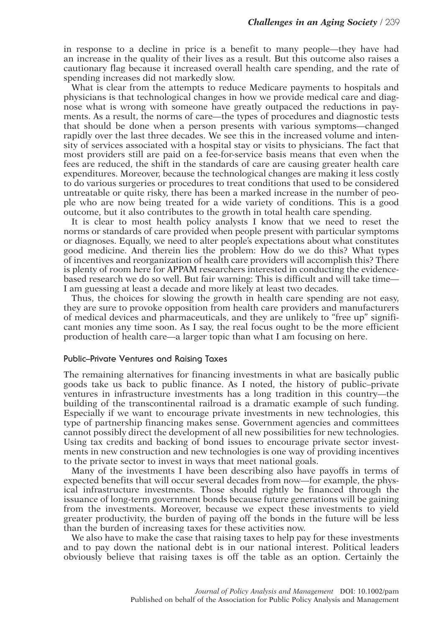in response to a decline in price is a benefit to many people—they have had an increase in the quality of their lives as a result. But this outcome also raises a cautionary flag because it increased overall health care spending, and the rate of spending increases did not markedly slow.

What is clear from the attempts to reduce Medicare payments to hospitals and physicians is that technological changes in how we provide medical care and diagnose what is wrong with someone have greatly outpaced the reductions in payments. As a result, the norms of care—the types of procedures and diagnostic tests that should be done when a person presents with various symptoms—changed rapidly over the last three decades. We see this in the increased volume and intensity of services associated with a hospital stay or visits to physicians. The fact that most providers still are paid on a fee-for-service basis means that even when the fees are reduced, the shift in the standards of care are causing greater health care expenditures. Moreover, because the technological changes are making it less costly to do various surgeries or procedures to treat conditions that used to be considered untreatable or quite risky, there has been a marked increase in the number of people who are now being treated for a wide variety of conditions. This is a good outcome, but it also contributes to the growth in total health care spending.

It is clear to most health policy analysts I know that we need to reset the norms or standards of care provided when people present with particular symptoms or diagnoses. Equally, we need to alter people's expectations about what constitutes good medicine. And therein lies the problem: How do we do this? What types of incentives and reorganization of health care providers will accomplish this? There is plenty of room here for APPAM researchers interested in conducting the evidencebased research we do so well. But fair warning: This is difficult and will take time— I am guessing at least a decade and more likely at least two decades.

Thus, the choices for slowing the growth in health care spending are not easy, they are sure to provoke opposition from health care providers and manufacturers of medical devices and pharmaceuticals, and they are unlikely to "free up" significant monies any time soon. As I say, the real focus ought to be the more efficient production of health care—a larger topic than what I am focusing on here.

#### **Public–Private Ventures and Raising Taxes**

The remaining alternatives for financing investments in what are basically public goods take us back to public finance. As I noted, the history of public–private ventures in infrastructure investments has a long tradition in this country—the building of the transcontinental railroad is a dramatic example of such funding. Especially if we want to encourage private investments in new technologies, this type of partnership financing makes sense. Government agencies and committees cannot possibly direct the development of all new possibilities for new technologies. Using tax credits and backing of bond issues to encourage private sector investments in new construction and new technologies is one way of providing incentives to the private sector to invest in ways that meet national goals.

Many of the investments I have been describing also have payoffs in terms of expected benefits that will occur several decades from now—for example, the physical infrastructure investments. Those should rightly be financed through the issuance of long-term government bonds because future generations will be gaining from the investments. Moreover, because we expect these investments to yield greater productivity, the burden of paying off the bonds in the future will be less than the burden of increasing taxes for these activities now.

We also have to make the case that raising taxes to help pay for these investments and to pay down the national debt is in our national interest. Political leaders obviously believe that raising taxes is off the table as an option. Certainly the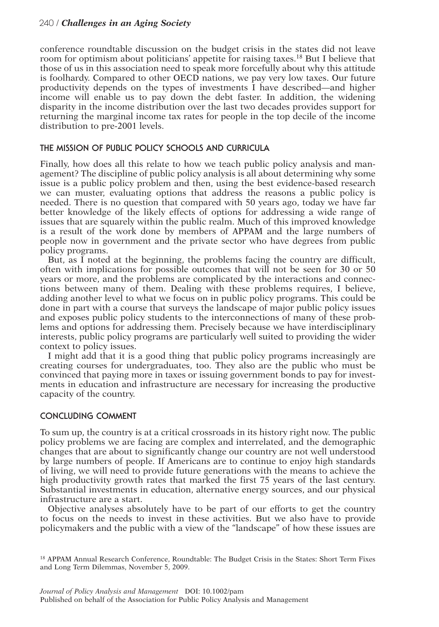conference roundtable discussion on the budget crisis in the states did not leave room for optimism about politicians' appetite for raising taxes.18 But I believe that those of us in this association need to speak more forcefully about why this attitude is foolhardy. Compared to other OECD nations, we pay very low taxes. Our future productivity depends on the types of investments I have described—and higher income will enable us to pay down the debt faster. In addition, the widening disparity in the income distribution over the last two decades provides support for returning the marginal income tax rates for people in the top decile of the income distribution to pre-2001 levels.

# **THE MISSION OF PUBLIC POLICY SCHOOLS AND CURRICULA**

Finally, how does all this relate to how we teach public policy analysis and management? The discipline of public policy analysis is all about determining why some issue is a public policy problem and then, using the best evidence-based research we can muster, evaluating options that address the reasons a public policy is needed. There is no question that compared with 50 years ago, today we have far better knowledge of the likely effects of options for addressing a wide range of issues that are squarely within the public realm. Much of this improved knowledge is a result of the work done by members of APPAM and the large numbers of people now in government and the private sector who have degrees from public policy programs.

But, as I noted at the beginning, the problems facing the country are difficult, often with implications for possible outcomes that will not be seen for 30 or 50 years or more, and the problems are complicated by the interactions and connections between many of them. Dealing with these problems requires, I believe, adding another level to what we focus on in public policy programs. This could be done in part with a course that surveys the landscape of major public policy issues and exposes public policy students to the interconnections of many of these problems and options for addressing them. Precisely because we have interdisciplinary interests, public policy programs are particularly well suited to providing the wider context to policy issues.

I might add that it is a good thing that public policy programs increasingly are creating courses for undergraduates, too. They also are the public who must be convinced that paying more in taxes or issuing government bonds to pay for investments in education and infrastructure are necessary for increasing the productive capacity of the country.

# **CONCLUDING COMMENT**

To sum up, the country is at a critical crossroads in its history right now. The public policy problems we are facing are complex and interrelated, and the demographic changes that are about to significantly change our country are not well understood by large numbers of people. If Americans are to continue to enjoy high standards of living, we will need to provide future generations with the means to achieve the high productivity growth rates that marked the first 75 years of the last century. Substantial investments in education, alternative energy sources, and our physical infrastructure are a start.

Objective analyses absolutely have to be part of our efforts to get the country to focus on the needs to invest in these activities. But we also have to provide policymakers and the public with a view of the "landscape" of how these issues are

<sup>18</sup> APPAM Annual Research Conference, Roundtable: The Budget Crisis in the States: Short Term Fixes and Long Term Dilemmas, November 5, 2009.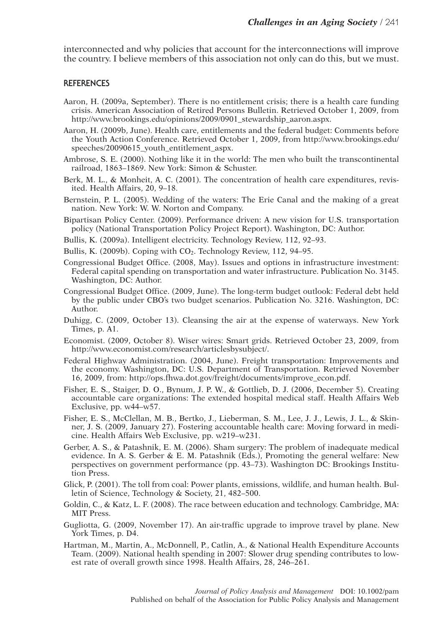interconnected and why policies that account for the interconnections will improve the country. I believe members of this association not only can do this, but we must.

## **REFERENCES**

- Aaron, H. (2009a, September). There is no entitlement crisis; there is a health care funding crisis. American Association of Retired Persons Bulletin. Retrieved October 1, 2009, from http://www.brookings.edu/opinions/2009/0901\_stewardship\_aaron.aspx.
- Aaron, H. (2009b, June). Health care, entitlements and the federal budget: Comments before the Youth Action Conference. Retrieved October 1, 2009, from http://www.brookings.edu/ speeches/20090615\_youth\_entitlement\_aspx.
- Ambrose, S. E. (2000). Nothing like it in the world: The men who built the transcontinental railroad, 1863–1869. New York: Simon & Schuster.
- Berk, M. L., & Monheit, A. C. (2001). The concentration of health care expenditures, revisited. Health Affairs, 20, 9–18.
- Bernstein, P. L. (2005). Wedding of the waters: The Erie Canal and the making of a great nation. New York: W. W. Norton and Company.
- Bipartisan Policy Center. (2009). Performance driven: A new vision for U.S. transportation policy (National Transportation Policy Project Report). Washington, DC: Author.
- Bullis, K. (2009a). Intelligent electricity. Technology Review, 112, 92–93.
- Bullis, K. (2009b). Coping with CO<sub>2</sub>. Technology Review, 112, 94–95.
- Congressional Budget Office. (2008, May). Issues and options in infrastructure investment: Federal capital spending on transportation and water infrastructure. Publication No. 3145. Washington, DC: Author.
- Congressional Budget Office. (2009, June). The long-term budget outlook: Federal debt held by the public under CBO's two budget scenarios. Publication No. 3216. Washington, DC: Author.
- Duhigg, C. (2009, October 13). Cleansing the air at the expense of waterways. New York Times, p. A1.
- Economist. (2009, October 8). Wiser wires: Smart grids. Retrieved October 23, 2009, from http://www.economist.com/research/articlesbysubject/.
- Federal Highway Administration. (2004, June). Freight transportation: Improvements and the economy. Washington, DC: U.S. Department of Transportation. Retrieved November 16, 2009, from: http://ops.fhwa.dot.gov/freight/documents/improve\_econ.pdf.
- Fisher, E. S., Staiger, D. O., Bynum, J. P. W., & Gottlieb, D. J. (2006, December 5). Creating accountable care organizations: The extended hospital medical staff. Health Affairs Web Exclusive, pp. w44–w57.
- Fisher, E. S., McClellan, M. B., Bertko, J., Lieberman, S. M., Lee, J. J., Lewis, J. L., & Skinner, J. S. (2009, January 27). Fostering accountable health care: Moving forward in medicine. Health Affairs Web Exclusive, pp. w219–w231.
- Gerber, A. S., & Patashnik, E. M. (2006). Sham surgery: The problem of inadequate medical evidence. In A. S. Gerber & E. M. Patashnik (Eds.), Promoting the general welfare: New perspectives on government performance (pp. 43–73). Washington DC: Brookings Institution Press.
- Glick, P. (2001). The toll from coal: Power plants, emissions, wildlife, and human health. Bulletin of Science, Technology & Society, 21, 482–500.
- Goldin, C., & Katz, L. F. (2008). The race between education and technology. Cambridge, MA: MIT Press.
- Gugliotta, G. (2009, November 17). An air-traffic upgrade to improve travel by plane. New York Times, p. D4.
- Hartman, M., Martin, A., McDonnell, P., Catlin, A., & National Health Expenditure Accounts Team. (2009). National health spending in 2007: Slower drug spending contributes to lowest rate of overall growth since 1998. Health Affairs, 28, 246–261.